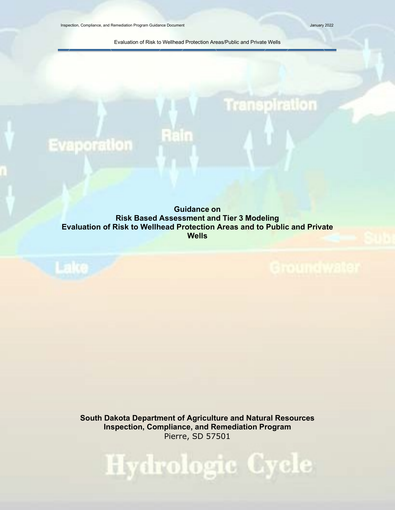**Evaporation** 

Lake .

**Transpiration** 

Evaluation of Risk to Wellhead Protection Areas/Public and Private Wells

<span id="page-0-0"></span>**Guidance on Risk Based Assessment and Tier 3 Modeling Evaluation of Risk to Wellhead Protection Areas and to Public and Private Wells**

Rain

**South Dakota Department of Agriculture and Natural Resources Inspection, Compliance, and Remediation Program** Pierre, SD 57501

Hydrologic Cycle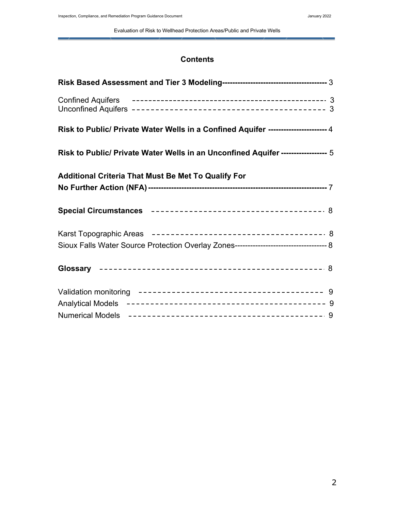Evaluation of Risk to Wellhead Protection Areas/Public and Private Wells

## **Contents**

| Risk to Public/ Private Water Wells in a Confined Aquifer ---------------------4 |  |
|----------------------------------------------------------------------------------|--|
| Risk to Public/ Private Water Wells in an Unconfined Aquifer ----------------- 5 |  |
| <b>Additional Criteria That Must Be Met To Qualify For</b>                       |  |
|                                                                                  |  |
|                                                                                  |  |
|                                                                                  |  |
|                                                                                  |  |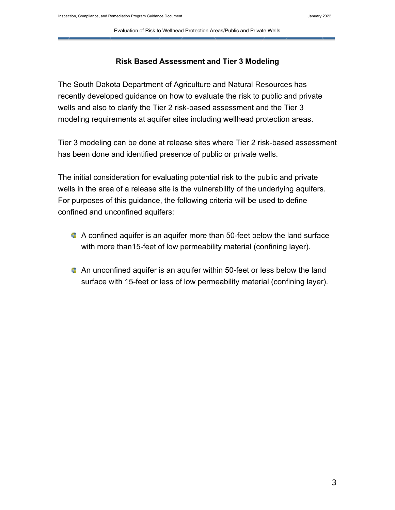Evaluation of Risk to Wellhead Protection Areas/Public and Private Wells

## **Risk Based Assessment and Tier 3 Modeling**

The South Dakota Department of Agriculture and Natural Resources has recently developed guidance on how to evaluate the risk to public and private wells and also to clarify the Tier 2 risk-based assessment and the Tier 3 modeling requirements at aquifer sites including wellhead protection areas.

Tier 3 modeling can be done at release sites where Tier 2 risk-based assessment has been done and identified presence of public or private wells.

The initial consideration for evaluating potential risk to the public and private wells in the area of a release site is the vulnerability of the underlying aquifers. For purposes of this guidance, the following criteria will be used to define confined and unconfined aquifers:

- A confined aquifer is an aquifer more than 50-feet below the land surface with more than15-feet of low permeability material (confining layer).
- An unconfined aquifer is an aquifer within 50-feet or less below the land surface with 15-feet or less of low permeability material (confining layer).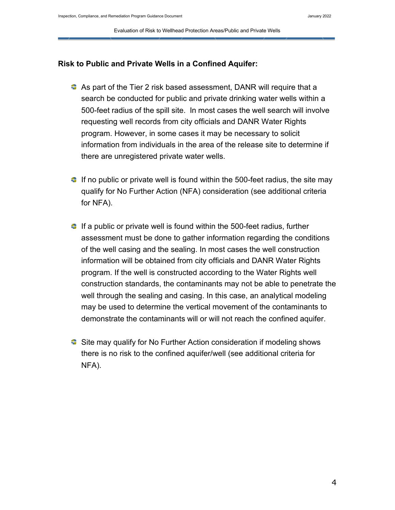## **Risk to Public and Private Wells in a Confined Aquifer:**

- As part of the Tier 2 risk based assessment, DANR will require that a search be conducted for public and private drinking water wells within a 500-feet radius of the spill site. In most cases the well search will involve requesting well records from city officials and DANR Water Rights program. However, in some cases it may be necessary to solicit information from individuals in the area of the release site to determine if there are unregistered private water wells.
- $\bullet$  If no public or private well is found within the 500-feet radius, the site may qualify for No Further Action (NFA) consideration (see additional criteria for NFA).
- $\bullet$  If a public or private well is found within the 500-feet radius, further assessment must be done to gather information regarding the conditions of the well casing and the sealing. In most cases the well construction information will be obtained from city officials and DANR Water Rights program. If the well is constructed according to the Water Rights well construction standards, the contaminants may not be able to penetrate the well through the sealing and casing. In this case, an analytical modeling may be used to determine the vertical movement of the contaminants to demonstrate the contaminants will or will not reach the confined aquifer.
- **■** Site may qualify for No Further Action consideration if modeling shows there is no risk to the confined aquifer/well (see additional criteria for NFA).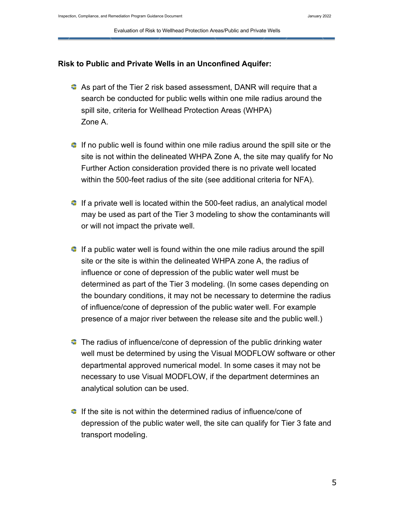#### **Risk to Public and Private Wells in an Unconfined Aquifer:**

- As part of the Tier 2 risk based assessment, DANR will require that a search be conducted for public wells within one mile radius around the spill site, criteria for Wellhead Protection Areas (WHPA) Zone A.
- $\blacksquare$  If no public well is found within one mile radius around the spill site or the site is not within the delineated WHPA Zone A, the site may qualify for No Further Action consideration provided there is no private well located within the 500-feet radius of the site (see additional criteria for NFA).
- $\bullet$  If a private well is located within the 500-feet radius, an analytical model may be used as part of the Tier 3 modeling to show the contaminants will or will not impact the private well.
- $\bullet$  If a public water well is found within the one mile radius around the spill site or the site is within the delineated WHPA zone A, the radius of influence or cone of depression of the public water well must be determined as part of the Tier 3 modeling. (In some cases depending on the boundary conditions, it may not be necessary to determine the radius of influence/cone of depression of the public water well. For example presence of a major river between the release site and the public well.)
- $\bullet$  The radius of influence/cone of depression of the public drinking water well must be determined by using the Visual MODFLOW software or other departmental approved numerical model. In some cases it may not be necessary to use Visual MODFLOW, if the department determines an analytical solution can be used.
- $\bullet$  If the site is not within the determined radius of influence/cone of depression of the public water well, the site can qualify for Tier 3 fate and transport modeling.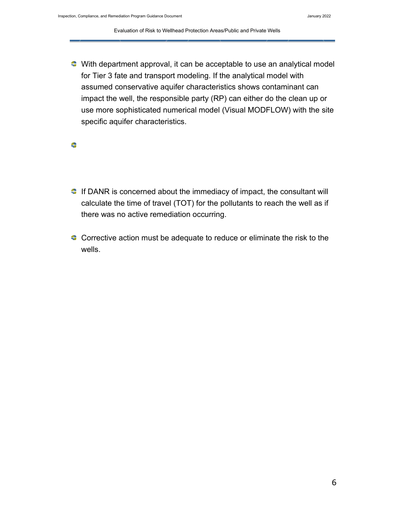With department approval, it can be acceptable to use an analytical model for Tier 3 fate and transport modeling. If the analytical model with assumed conservative aquifer characteristics shows contaminant can impact the well, the responsible party (RP) can either do the clean up or use more sophisticated numerical model (Visual MODFLOW) with the site specific aquifer characteristics.

≎

- $\blacksquare$  If DANR is concerned about the immediacy of impact, the consultant will calculate the time of travel (TOT) for the pollutants to reach the well as if there was no active remediation occurring.
- Corrective action must be adequate to reduce or eliminate the risk to the wells.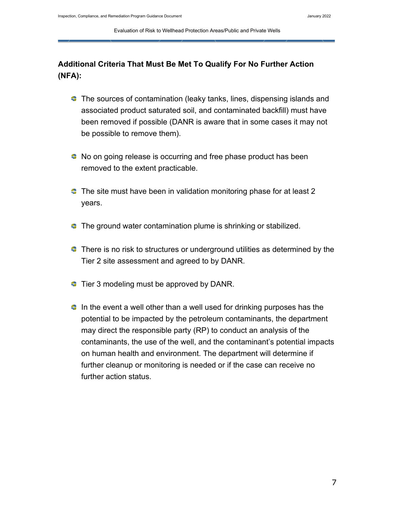# **Additional Criteria That Must Be Met To Qualify For No Further Action (NFA):**

- **The sources of contamination (leaky tanks, lines, dispensing islands and** associated product saturated soil, and contaminated backfill) must have been removed if possible (DANR is aware that in some cases it may not be possible to remove them).
- No on going release is occurring and free phase product has been removed to the extent practicable.
- $\bullet$  The site must have been in validation monitoring phase for at least 2 years.
- **The ground water contamination plume is shrinking or stabilized.**
- $\bullet$  There is no risk to structures or underground utilities as determined by the Tier 2 site assessment and agreed to by DANR.
- $\blacksquare$  Tier 3 modeling must be approved by DANR.
- $\bullet$  In the event a well other than a well used for drinking purposes has the potential to be impacted by the petroleum contaminants, the department may direct the responsible party (RP) to conduct an analysis of the contaminants, the use of the well, and the contaminant's potential impacts on human health and environment. The department will determine if further cleanup or monitoring is needed or if the case can receive no further action status.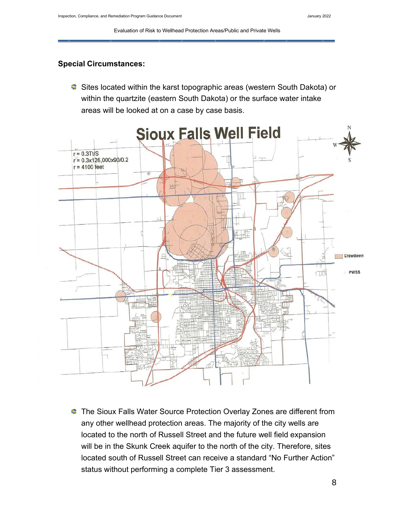## <span id="page-7-0"></span>**Special Circumstances:**

**■** Sites located within the karst topographic areas (western South Dakota) or within the quartzite (eastern South Dakota) or the surface water intake areas will be looked at on a case by case basis.



**The Sioux Falls Water Source Protection Overlay Zones are different from** any other wellhead protection areas. The majority of the city wells are located to the north of Russell Street and the future well field expansion will be in the Skunk Creek aquifer to the north of the city. Therefore, sites located south of Russell Street can receive a standard "No Further Action" status without performing a complete Tier 3 assessment.